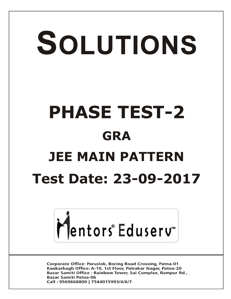# SOLUTIONS **PHASE TEST-2 GRA JEE MAIN PATTERN Test Date: 23-09-2017**



**Corporate Office: Paruslok, Boring Road Crossing, Patna-01** Kankarbagh Office: A-10, 1st Floor, Patrakar Nagar, Patna-20 Bazar Samiti Office: Rainbow Tower, Sai Complex, Rampur Rd., **Bazar Samiti Patna-06** Call: 9569668800 | 7544015993/4/6/7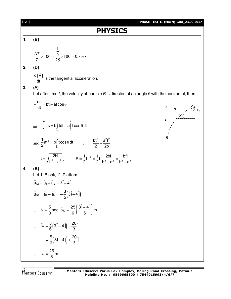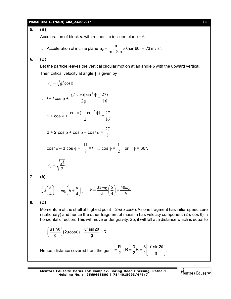#### **PHASE TEST-II (MAIN) GRA\_23.09.2017** [ **3** ]

**5. (B)**

Acceleration of block *m* with respect to inclined plane = 6

∴ Acceleration of incline plane 
$$
a_2 = \frac{m}{m+2m} \times 6 \sin 60^\circ = \sqrt{3} m / s^2
$$
.

**6. (B**)

**7. (A)**

**8. (D)**

Let the particle leaves the vertical circular motion at an angle  $\phi$  with the upward vertical. Then critical velocity at angle  $\phi$  is given by

$$
v_c = \sqrt{gl\cos\phi}
$$
  
\n
$$
\therefore I + I\cos\phi + \frac{gl\cos\phi\sin^2\phi}{2g} = \frac{27I}{16}
$$
  
\n
$$
1 + \cos\phi + \frac{\cos\phi(1 - \cos^2\phi)}{2} = \frac{27}{16}
$$
  
\n
$$
2 + 2\cos\phi + \cos\phi - \cos^3\phi = \frac{27}{8}
$$
  
\n
$$
\cos^3\phi - 3\cos\phi + \frac{11}{8} = 0 \Rightarrow \cos\phi = \frac{1}{2} \text{ or } \phi = 60^\circ.
$$
  
\n
$$
v_c = \sqrt{\frac{gl}{2}}.
$$
  
\n(A)  
\n
$$
\frac{1}{2}k\left(\frac{h}{4}\right)^2 = mg\left(h + \frac{h}{4}\right), \quad k = \frac{32mg}{h}\left(\frac{5}{4}\right) = \frac{40mg}{h}.
$$
  
\n(D)

Momentum of the shell at highest point =  $2m(u \cos\theta)$ . As one fragment has initial speed zero (stationary) and hence the other fragment of mass m has velocity component (2  $u \cos \theta$ ) in horizontal direction. This will move under gravity, So, it will fall at a distance which is equal to

$$
\left(\frac{\mathsf{u}\sin\theta}{g}\right)(2\mathsf{u}\cos\theta) = \frac{\mathsf{u}^2\sin 2\theta}{g} = \mathsf{R}
$$

Hence, distance covered from the gun  $=$   $\frac{R}{2}$  + R =  $\frac{3}{2}$  R =  $\frac{3}{2}$   $\left| \frac{u^2 \sin 2u}{dx^2} \right|$  $2 \begin{array}{|c|c|c|} \hline 2 & 2 & 9 \\ \hline \end{array}$  $=\frac{R}{2}+R=\frac{3}{2}R=\frac{3}{2}\left[\frac{u^2 \sin 2\theta}{g}\right].$ 

**Mentors Eduserv: Parus Lok Complex, Boring Road Crossing, Patna-1 Helpline No. : 9569668800 | 7544015993/4/6/7**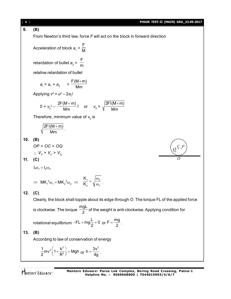[ **4** ] **PHASE TEST-II (MAIN) GRA\_23.09.2017 9. (B)** From Newton's third law, force *F* will act on the block in forward direction Acceleration of block  $a_{1}$  = F M retardation of bullet  $a_{2}$  = F m relative retardation of bullet  $a_r = a_1 + a_2 = 0$  $F(M+m)$ Mm  $\ddot{}$ Applying *v* 2 = *u* 2 – 2*a<sup>r</sup> l*  $0 = v_0^2 - \frac{2F(M+m)}{Mm}$ . Mm  $\ddot{}$ or  $v_0 =$ 2FI(M+m) Mm  $\ddot{}$ Therefore, minimum value of  $\boldsymbol{v}_{_{\boldsymbol{0}}}$  is  $2FI(M+m)$ Mm  $\ddot{}$ . **10. (B)** *OP* > *OC* > *OQ C P Q O* ∴  $V_p$  >  $V_c$  >  $V_q$ **11. (C)**  $l_1\omega_1 = l_2\omega_2$  $\Rightarrow$  MK<sub>1</sub><sup>2</sup> $\omega_1 = MK_2^2 \omega_2 \Rightarrow \frac{K_1}{K_2} = \sqrt{\frac{\omega_2}{\omega_1}}$ 2  $\sqrt{w_1}$ K K  $=\sqrt{\frac{\omega}{\epsilon}}$  $\frac{1}{\omega_1}$  . **12. (C)** Clearly, the block shall topple about its edge through *O*. The torque FL of the applied force is clockwise. The torque mgL  $\frac{3}{2}$  of the weight is anti-clockwise. Applying condition for rotational equilibrium  $FL + mg = 0$  $-FL + mg\frac{L}{2} = 0$  or  $F = \frac{mg}{2}$  $=\frac{119}{2}$ . **13. (B)** According to law of conservation of energy  $_{2}$ <sup>2</sup>  $\frac{1}{2}$ mv<sup>2</sup>  $\left(1+\frac{k^2}{R^2}\right)$  = Mgh  $2^{\cdots}$  (  $\vdots$  R  $\left(1+\frac{k^2}{R^2}\right)$  = Mgh <sub>or</sub>  $h = \frac{3v^2}{4}$  $=\frac{3x}{4g}$ .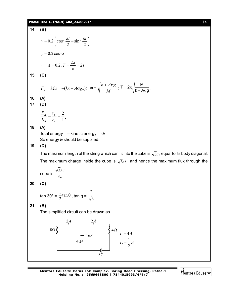## **PHASE TEST-II (MAIN) GRA\_23.09.2017** [ **5** ]

14. **(B)**  
\n
$$
y = 0.2 \left(\cos^2 \frac{\pi t}{2} - \sin^2 \frac{\pi t}{2}\right)
$$
  
\n $y = 0.2 \cos \pi t$   
\n $\therefore A = 0.2, T = \frac{2\pi}{\pi} = 2s$ .  
\n15. **(C)**  
\n $F_R = Ma = -(kx + A\sigma g x)$ ;  $\omega = \sqrt{\frac{k + A\sigma g}{M}}$ ;  $T = 2\pi \sqrt{\frac{M}{k + A\sigma g}}$ .  
\n16. **(A)**  
\n17. **(D)**  
\n $\frac{E_A}{s} = \frac{r_B}{r_A} = \frac{2}{1}$ .  
\n18. **(A)**  
\nTotal energy = - kinetic energy = -E  
\nSo energy E should be supplied.  
\n19. **(D)**  
\nThe maximum length of the string which can fit into the cube is  $\sqrt{3}a$ , equal to its body diagonal.  
\nThe maximum charge inside the cube is  $\sqrt{3}a\lambda$ , and hence the maximum flux through the cube is  $\frac{\sqrt{3}\lambda a}{\epsilon_0}$   
\n20. **(C)**  
\n $\tan 30^\circ = \frac{1}{2} \tan \theta$ ,  $\tan q = \frac{2}{\sqrt{3}}$ .  
\n21. **(B)**  
\nThe simplified circuit can be drawn as  
\n $\frac{2A}{\sqrt{\pi}} = \frac{2A}{16}$   
\n $\frac{2A}{\sqrt{\pi}} = \frac{2A}{16}$   
\n $I_2 = \frac{1}{2}A$ 

Mentors<sup>e</sup> Eduserv<sup>-</sup>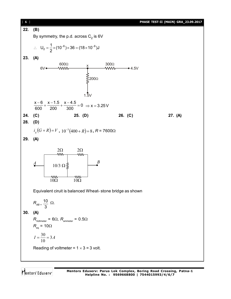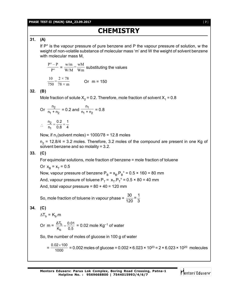#### **PHASE TEST-II (MAIN) GRA\_23.09.2017** [ **7** ]

# **CHEMISTRY**

## **31. (A)**

If  $P<sup>°</sup>$  is the vapour pressure of pure benzene and P the vapour pressure of solution, w the weight of non-volatile substance of molecular mass 'm' and W the weight of solvent benzene with molecular mass M,

$$
\frac{P^{\circ} - P}{P^{\circ}} = \frac{w/m}{W/M} = \frac{wM}{Wm}
$$
 substituting the values

$$
\frac{10}{750} = \frac{2 \times 78}{78 \times m}
$$
 Or m = 150

#### **32. (B)**

Mole fraction of solute X $_2$  = 0.2. Therefore, mole fraction of solvent X $_1$  = 0.8

Or 
$$
\frac{n_2}{n_1 + n_2} = 0.2
$$
 and  $\frac{n_1}{n_1 + n_2} = 0.8$   

$$
\therefore \frac{n_2}{n_1} = \frac{0.2}{0.8} = \frac{1}{4}
$$

$$
\frac{n_2}{n_1} = \frac{6n_1}{0.8} = \frac{1}{4}
$$

Now, if n<sub>1</sub>(solvent moles) = 1000/78 = 12.8 moles

 $n_{2}$  = 12.8/4 = 3.2 moles. Therefore, 3.2 moles of the compound are present in one Kg of solvent benzene and so molality = 3.2.

#### **33. (C)**

For equimolar solutions, mole fraction of benzene = mole fraction of toluene

Or 
$$
x_B = x_T = 0.5
$$

Now, vapour pressure of benzene P $_{\rm B}$  =  $\rm{x_{\rm B}}$ . $\rm{P_{\rm B}}^{\circ}$  = 0.5 × 160 = 80 mm And, vapour pressure of toluene P $_{\rm T}$  =  $\,$  x $_{\rm T}$ .P $_{\rm T}^{\,\circ}$  = 0.5 × 80 = 40 mm And, total vapour pressure =  $80 + 40 = 120$  mm

So, mole fraction of toluene in vapour phase =  $\frac{30}{20} = \frac{1}{2}$ 120 3

## **34. (C)**

$$
\Delta T_{b} = K_{b}.m
$$

Or m = 
$$
\frac{\Delta T_b}{K_b} = \frac{0.01}{0.5}
$$
 = 0.02 mole Kg<sup>-1</sup> of water

So, the number of moles of glucose in 100 g of water

$$
= \frac{0.02 \times 100}{1000} = 0.002 \text{ moles of glucose} = 0.002 \times 6.023 \times 10^{23} = 2 \times 6.023 \times 10^{20} \text{ molecules}
$$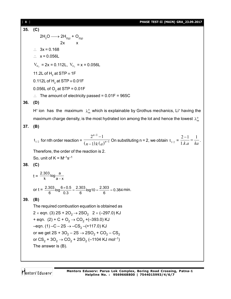| PHASE TEST-II (MAIN) GRA 23.09.2017 |
|-------------------------------------|
|-------------------------------------|

**35. (C)**  $2H_2O \longrightarrow 2H_{2(g)} + O_{2(g)}$  $2x \times x$  $\therefore$  3x = 0.168  $\therefore$  x = 0.056L  $V_{H_2}$  = 2x = 0.112L,  $V_{O_2}$  = x = 0.056L 11.2L of  $H<sub>2</sub>$  at STP  $\equiv$  1F 0.112L of  $\mathsf{H}_{_2}$  at STP  $\equiv$  0.01F 0.056L of  $\textsf{O}_2$  at STP = 0.01F  $\therefore$  The amount of electricity passed = 0.01F = 965C **36. (D)** H<sup>+</sup> ion has the maximum  $\lambda_m^{\circ}$  which is explainable by Grothus mechanics, Li<sup>+</sup> having the maximum charge density, is the most hydrated ion among the lot and hence the lowest  $\lambda_{\sf m}^{\sf o}$ **37. (B)**  $t_{1/2}$  for nth order reaction =  $\frac{1}{(n-1)k(a)}$ 1 1  $2^{n-1} - 1$ 1 *n*  $n-1)k(a)^n$ --- $\frac{1}{(1-x)(1-x)}$  On substituting n = 2, we obtain  $t_{1/2} = -1$ )  $2 - 1$  1 1. . *k a ka*  $\frac{-1}{1} = \frac{1}{1}$ . Therefore, the order of the reaction is 2. So, unit of  $K = M^{-1} s^{-1}$ **38. (C)**  $t = \frac{2.303}{k} \log \frac{a}{2}$  $k \qquad a-x$ or t =  $\frac{2.303}{6}$ log $\frac{6 \times 0.5}{0.3}$  =  $\frac{2.303}{6}$ log 10 =  $\frac{2.303}{6}$  = 0.384  $\frac{\times 0.5}{\times 0.5} = \frac{2.303}{0.0010} = 10.303 = 0.384 \text{ min.}$ **39. (B)** The required combustion equation is obtained as  $2 \times$  eqn. (3)  $2S + 2O_2 \rightarrow 2SO_2$   $2 \times (-297.0)$  KJ + eqn.  $(2)$  + C + O<sub>2</sub>  $\rightarrow$  CO<sub>2</sub> +(–393.0) KJ –eqn. (1) –C – 2S  $\rightarrow$  –CS $_2$  –(+117.0) KJ or we get 2S + 3O $_2$  – 2S  $\rightarrow$  2SO $_2$  + CO $_2$  – CS $_2$ or  $\text{CS}_2 + 3\text{O}_2 \to \text{CO}_2 + 2\text{SO}_2$  (–1104 KJ mol<sup>–1</sup>) The answer is (B).

Mentors<sup>®</sup> Eduserv<sup>®</sup>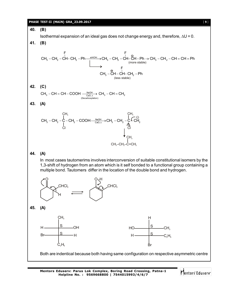#### **PHASE TEST-II (MAIN) GRA\_23.09.2017** [ **9** ]



**Mentors Eduserv: Parus Lok Complex, Boring Road Crossing, Patna-1 Helpline No. : 9569668800 | 7544015993/4/6/7**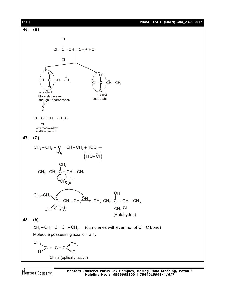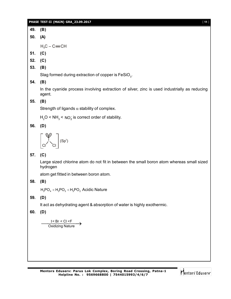| PHASE TEST-II (MAIN) GRA 23.09.2017 | 111 |
|-------------------------------------|-----|
|                                     |     |

**49. (B) 50. (A)**  $H_3C - C \equiv CH$ **51. (C) 52. (C) 53. (B)** Slag formed during extraction of copper is  $\mathsf{FeSiO}_{_3}.$ **54. (B)** In the cyanide process involving extraction of silver, zinc is used industrially as reducing agent. **55. (B)** Strength of ligands  $\alpha$  stability of complex.  $H<sub>2</sub>O < NH<sub>3</sub> < NO<sub>2</sub>$  is correct order of stability. **56. (D)** Cl Cl  $\left| \bigvee \right|$  (Sp<sup>3</sup>) **57. (C)** Large sized chlorine atom do not fit in between the small boron atom whereas small sized hydrogen atom get fitted in between boron atom. **58. (B)**  $H_3PO_4 < H_3PO_3 < H_3PO_2$  Acidic Nature **59. (D)** It act as dehydrating agent & absorption of water is highly exothermic. **60. (D)** I < Br < Cl <F<br>Oxidizing Nature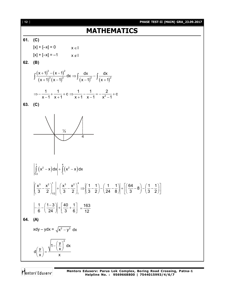# **MATHEMATICS**

## **61. (C)**



Mentors<sup>®</sup> Eduserv<sup>®</sup>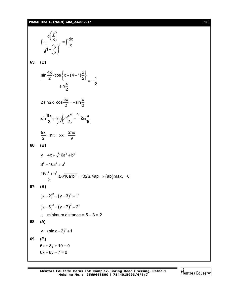# **PHASE TEST-II (MAIN) GRA\_23.09.2017** [ 13 ]

|     | $\int \frac{d\left(\frac{y}{x}\right)}{\sqrt{1-\left(\frac{y}{x}\right)^2}} = \int \frac{dx}{x}$  |
|-----|---------------------------------------------------------------------------------------------------|
|     | 65. (B)                                                                                           |
|     | $\frac{\sin\frac{4x}{2}\cdot\cos\left\{x+(4-1)\frac{x}{2}\right\}}{\sin\frac{x}{2}}=-\frac{1}{2}$ |
|     | $2\sin 2x \cdot \cos \frac{5x}{2} = -\sin \frac{x}{2}$                                            |
|     | $\sin \frac{9x}{2} + \sin \left( \frac{x}{2} \right) = -\sin \frac{x}{2}$                         |
|     | $\frac{9x}{2}$ = n $\pi \Rightarrow x = \frac{2n\pi}{9}$                                          |
|     | 66. (B)                                                                                           |
|     | $v = 4x + \sqrt{16a^2 + b^2}$                                                                     |
|     | $8^2 = 16a^2 + b^2$                                                                               |
|     | $\frac{16a^2 + b^2}{2} \ge \sqrt{16a^2b^2} \Rightarrow 32 \ge 4ab \Rightarrow (ab)max. = 8$       |
|     | 67. (B)                                                                                           |
|     | $(x-2)^{2} + (y+3)^{2} = 1^{2}$                                                                   |
|     | $(x-5)^{2} + (y+7)^{2} = 2^{2}$                                                                   |
|     | minimum distance = $5 - 3 = 2$                                                                    |
| 68. | (A)                                                                                               |
|     | $y = (sin x - 2)^{2} + 1$                                                                         |
| 69. | (B)                                                                                               |
|     | $6x + 8y + 10 = 0$                                                                                |
|     | $6x + 8y - 7 = 0$                                                                                 |

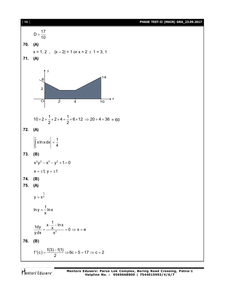| $[14]$     | PHASE TEST-II (MAIN) GRA_23.09.2017                                                                               |  |
|------------|-------------------------------------------------------------------------------------------------------------------|--|
| 70.<br>71. | $D = \frac{17}{10}$<br>(A)<br>$x = 1, 2$ , $ x-2  = 1$ or $x = 2 \pm 1 = 3, 1$<br>(A)                             |  |
|            | у<br>14<br>$\mathcal{S}$<br>$\overline{2}$<br>→ X<br>$\overline{\circ}$<br>$\overline{2}$<br>$\overline{4}$<br>10 |  |
|            | $10 \times 2 + \frac{1}{2} \times 2 \times 4 + \frac{1}{2} \times 6 \times 12 \Rightarrow 20 + 4 + 36 = 60$       |  |
| 72.        | (A)                                                                                                               |  |
|            | $\left \int_{0}^{1} x \ln x dx\right  = \frac{1}{4}$                                                              |  |
| 73.        | (B)                                                                                                               |  |
|            | $x^2y^2 - x^2 - y^2 + 1 = 0$                                                                                      |  |
|            | $x = \pm 1$ , $y = \pm 1$                                                                                         |  |
| 74.<br>75. | (B)<br>(A)                                                                                                        |  |
|            | $y = x^{\frac{1}{x}}$                                                                                             |  |
|            | $\ln y = \frac{1}{x} \ln x$                                                                                       |  |
|            | $\frac{1dy}{ydx} = \frac{x \cdot \frac{1}{x} - \ln x}{x^2} = 0 \Rightarrow x = e$                                 |  |
| 76.        | (B)                                                                                                               |  |
|            | $f'(c) = \frac{f(3) - f(1)}{2} \Rightarrow 6c + 5 = 17 \Rightarrow c = 2$                                         |  |

Mentors<sup>®</sup> Eduserv<sup>®</sup>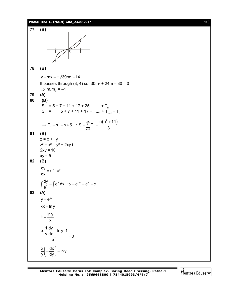#### **PHASE TEST-II (MAIN) GRA\_23.09.2017** [ **15** ]

**77. (B)**  $-1$  1 **78. (B)** y – mx =  $\pm\sqrt{39}$ m $^2$  – 14 It passes through  $(3, 4)$  so,  $30m^2 + 24m - 30 = 0$  $\Rightarrow$  m<sub>1</sub>m<sub>2</sub> = -1 **79. (A) 80. (B)**  $S = 5 + 7 + 11 + 17 + 25$  .........+ T<sub>n</sub>  $S = 5 + 7 + 11 + 17 + \dots + T_{n-1} + T_n$ ⇒ T<sub>n</sub> = n<sup>2</sup> - n + 5 ∴ S =  $\sum_{n=1}^{n}$  T<sub>n</sub> =  $\frac{n(n^2 + 14)}{3}$  $n(n^2 + 14)$  $T_n = n^2 - n + 5$  :  $S = \sum T_n$  $\frac{3}{2}$  m 3  $= n^2 - n + 5$  :  $S = \sum_{n=1}^{n} T_n = \frac{n(n^2 + n)}{3}$ **81. (B)**  $z = x + iy$ z<sup>2</sup> = x<sup>2</sup> – y<sup>2</sup> + 2xy i  $2xy = 10$  $xy = 5$ **82. (B)**  $\frac{dy}{dx} = e^{x} \cdot e^{y}$ dx  $= e^x \cdot e$  $x + y = 0$   $y = 0$   $x = 0$  $\frac{dy}{dx} = \int e^x dx \implies -e^{-y} = e^x + c$ e  $\int \frac{dy}{e^y} = \int e^x dx \implies -e^{-y} = e^x + c$ **83. (A)**  $v = e^{kx}$  $kx = ln y$  $k = \frac{\ln y}{ }$ x  $=$ 2 x.  $\frac{1}{1}$  dy – ln y  $\cdot$  1  $\frac{y \, dx}{2} = 0$ x – In y · 1  $=$  $\frac{x}{a} \left( -\frac{dx}{b} \right) = \ln y$  $\frac{x}{y} \left( -\frac{dx}{dy} \right) = 1$  $($  ay $)$ 

Mentors Eduserv